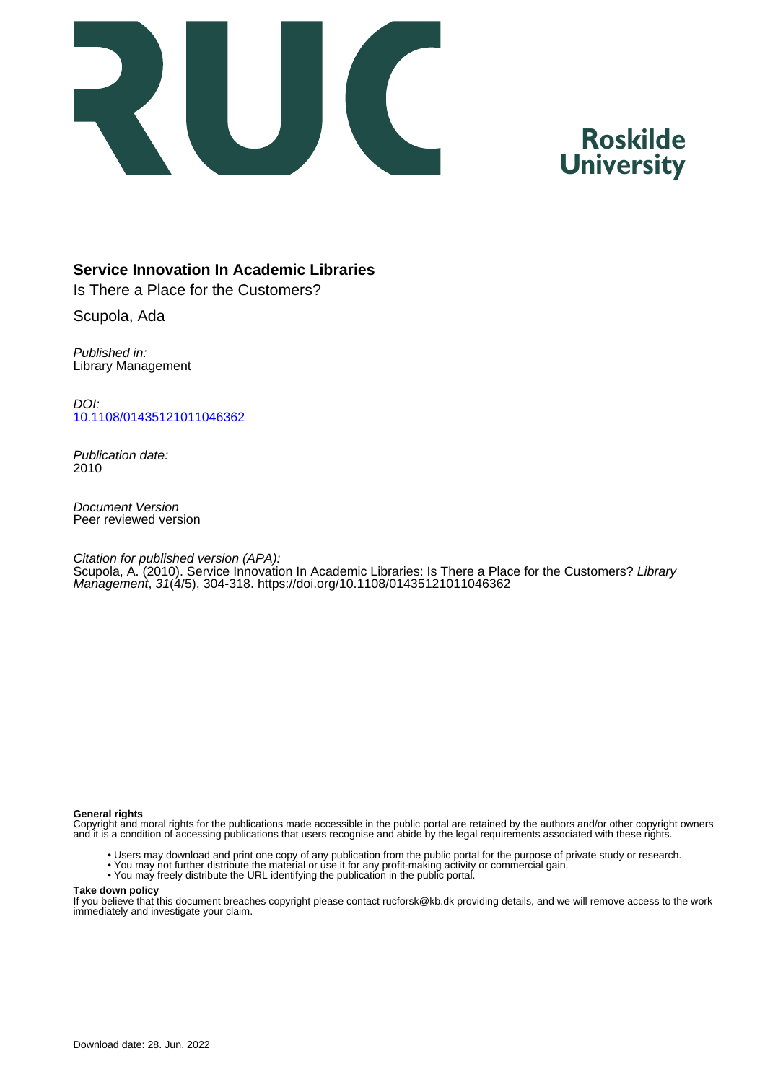

# **Roskilde University**

## **Service Innovation In Academic Libraries**

Is There a Place for the Customers?

Scupola, Ada

Published in: Library Management

DOI: [10.1108/01435121011046362](https://doi.org/10.1108/01435121011046362)

Publication date: 2010

Document Version Peer reviewed version

Citation for published version (APA):

Scupola, A. (2010). Service Innovation In Academic Libraries: Is There a Place for the Customers? Library Management, 31(4/5), 304-318.<https://doi.org/10.1108/01435121011046362>

#### **General rights**

Copyright and moral rights for the publications made accessible in the public portal are retained by the authors and/or other copyright owners and it is a condition of accessing publications that users recognise and abide by the legal requirements associated with these rights.

- Users may download and print one copy of any publication from the public portal for the purpose of private study or research.
- You may not further distribute the material or use it for any profit-making activity or commercial gain.
- You may freely distribute the URL identifying the publication in the public portal.

#### **Take down policy**

If you believe that this document breaches copyright please contact rucforsk@kb.dk providing details, and we will remove access to the work immediately and investigate your claim.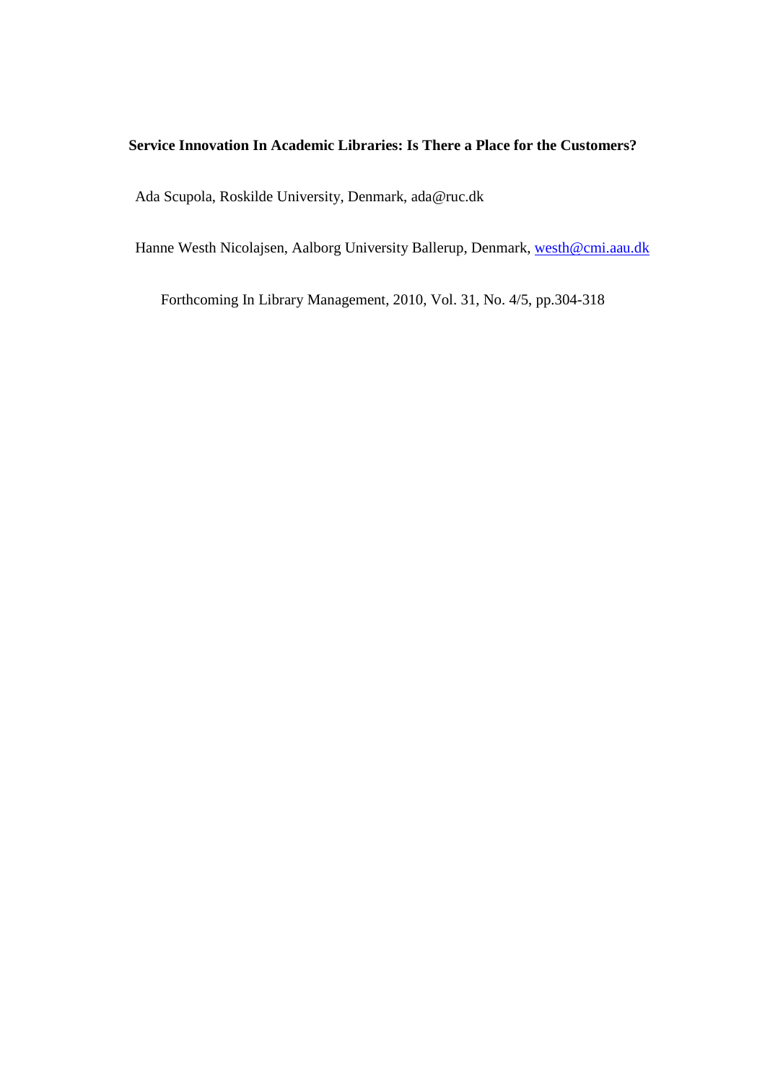## **Service Innovation In Academic Libraries: Is There a Place for the Customers?**

Ada Scupola, Roskilde University, Denmark, ada@ruc.dk

Hanne Westh Nicolajsen, Aalborg University Ballerup, Denmark, westh@cmi.aau.dk

Forthcoming In Library Management, 2010, Vol. 31, No. 4/5, pp.304-318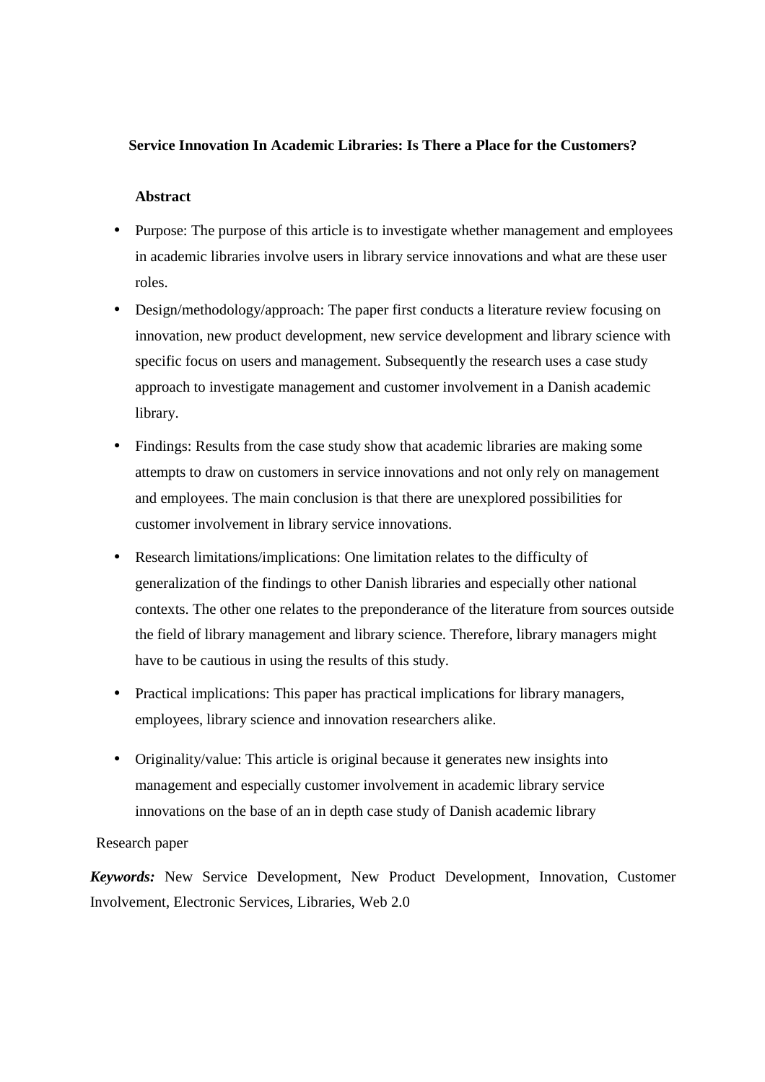## **Service Innovation In Academic Libraries: Is There a Place for the Customers?**

## **Abstract**

- Purpose: The purpose of this article is to investigate whether management and employees in academic libraries involve users in library service innovations and what are these user roles.
- Design/methodology/approach: The paper first conducts a literature review focusing on innovation, new product development, new service development and library science with specific focus on users and management. Subsequently the research uses a case study approach to investigate management and customer involvement in a Danish academic library.
- Findings: Results from the case study show that academic libraries are making some attempts to draw on customers in service innovations and not only rely on management and employees. The main conclusion is that there are unexplored possibilities for customer involvement in library service innovations.
- Research limitations/implications: One limitation relates to the difficulty of generalization of the findings to other Danish libraries and especially other national contexts. The other one relates to the preponderance of the literature from sources outside the field of library management and library science. Therefore, library managers might have to be cautious in using the results of this study.
- Practical implications: This paper has practical implications for library managers, employees, library science and innovation researchers alike.
- Originality/value: This article is original because it generates new insights into management and especially customer involvement in academic library service innovations on the base of an in depth case study of Danish academic library

## Research paper

*Keywords:* New Service Development, New Product Development, Innovation, Customer Involvement, Electronic Services, Libraries, Web 2.0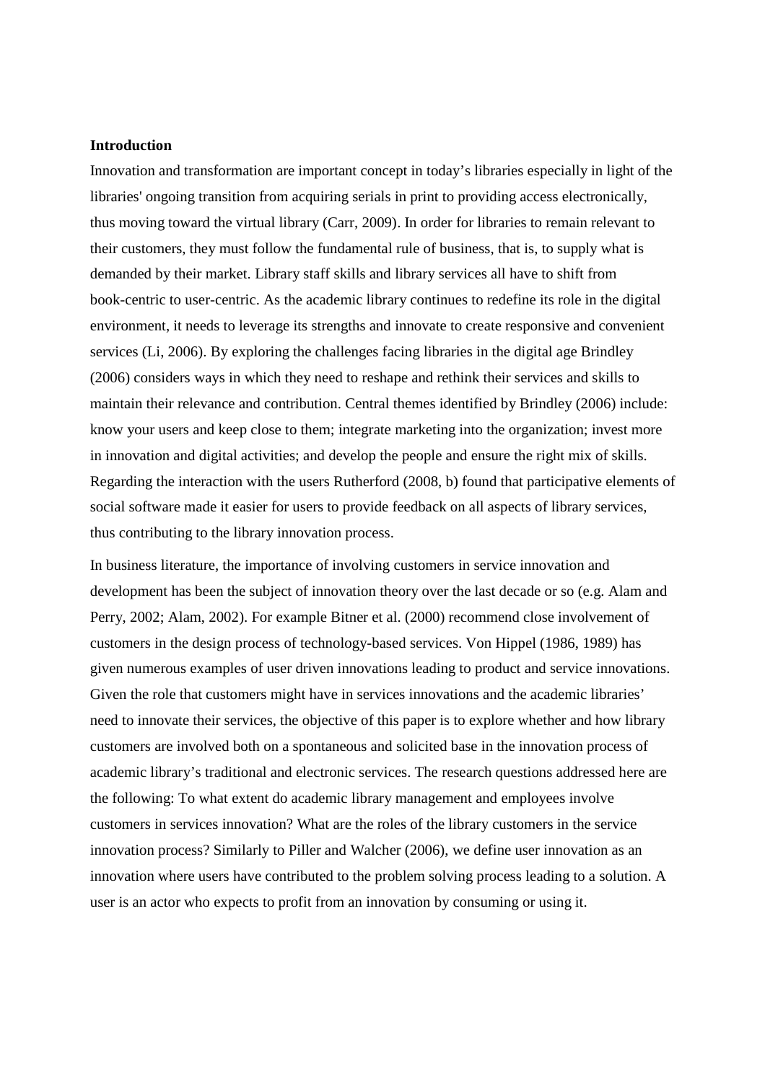## **Introduction**

Innovation and transformation are important concept in today's libraries especially in light of the libraries' ongoing transition from acquiring serials in print to providing access electronically, thus moving toward the virtual library (Carr, 2009). In order for libraries to remain relevant to their customers, they must follow the fundamental rule of business, that is, to supply what is demanded by their market. Library staff skills and library services all have to shift from book-centric to user-centric. As the academic library continues to redefine its role in the digital environment, it needs to leverage its strengths and innovate to create responsive and convenient services (Li, 2006). By exploring the challenges facing libraries in the digital age Brindley (2006) considers ways in which they need to reshape and rethink their services and skills to maintain their relevance and contribution. Central themes identified by Brindley (2006) include: know your users and keep close to them; integrate marketing into the organization; invest more in innovation and digital activities; and develop the people and ensure the right mix of skills. Regarding the interaction with the users Rutherford (2008, b) found that participative elements of social software made it easier for users to provide feedback on all aspects of library services, thus contributing to the library innovation process.

In business literature, the importance of involving customers in service innovation and development has been the subject of innovation theory over the last decade or so (e.g. Alam and Perry, 2002; Alam, 2002). For example Bitner et al. (2000) recommend close involvement of customers in the design process of technology-based services. Von Hippel (1986, 1989) has given numerous examples of user driven innovations leading to product and service innovations. Given the role that customers might have in services innovations and the academic libraries' need to innovate their services, the objective of this paper is to explore whether and how library customers are involved both on a spontaneous and solicited base in the innovation process of academic library's traditional and electronic services. The research questions addressed here are the following: To what extent do academic library management and employees involve customers in services innovation? What are the roles of the library customers in the service innovation process? Similarly to Piller and Walcher (2006), we define user innovation as an innovation where users have contributed to the problem solving process leading to a solution. A user is an actor who expects to profit from an innovation by consuming or using it.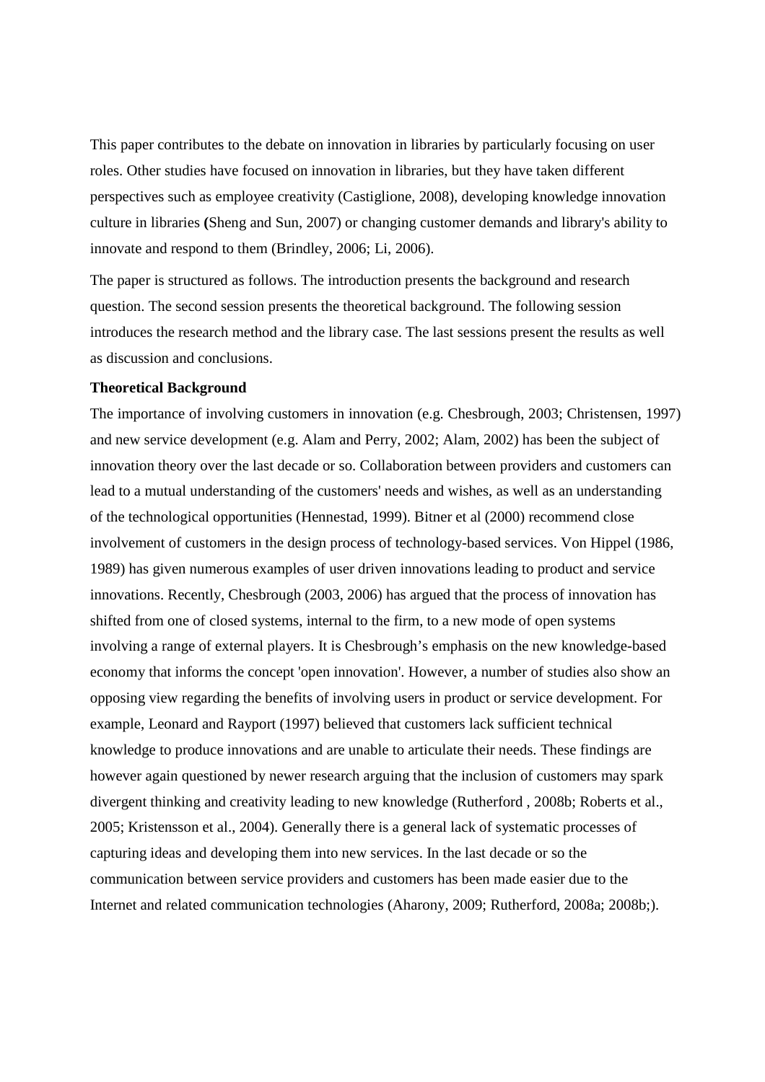This paper contributes to the debate on innovation in libraries by particularly focusing on user roles. Other studies have focused on innovation in libraries, but they have taken different perspectives such as employee creativity (Castiglione, 2008), developing knowledge innovation culture in libraries **(**Sheng and Sun, 2007) or changing customer demands and library's ability to innovate and respond to them (Brindley, 2006; Li, 2006).

The paper is structured as follows. The introduction presents the background and research question. The second session presents the theoretical background. The following session introduces the research method and the library case. The last sessions present the results as well as discussion and conclusions.

## **Theoretical Background**

The importance of involving customers in innovation (e.g. Chesbrough, 2003; Christensen, 1997) and new service development (e.g. Alam and Perry, 2002; Alam, 2002) has been the subject of innovation theory over the last decade or so. Collaboration between providers and customers can lead to a mutual understanding of the customers' needs and wishes, as well as an understanding of the technological opportunities (Hennestad, 1999). Bitner et al (2000) recommend close involvement of customers in the design process of technology-based services. Von Hippel (1986, 1989) has given numerous examples of user driven innovations leading to product and service innovations. Recently, Chesbrough (2003, 2006) has argued that the process of innovation has shifted from one of closed systems, internal to the firm, to a new mode of open systems involving a range of external players. It is Chesbrough's emphasis on the new knowledge-based economy that informs the concept 'open innovation'. However, a number of studies also show an opposing view regarding the benefits of involving users in product or service development. For example, Leonard and Rayport (1997) believed that customers lack sufficient technical knowledge to produce innovations and are unable to articulate their needs. These findings are however again questioned by newer research arguing that the inclusion of customers may spark divergent thinking and creativity leading to new knowledge (Rutherford , 2008b; Roberts et al., 2005; Kristensson et al., 2004). Generally there is a general lack of systematic processes of capturing ideas and developing them into new services. In the last decade or so the communication between service providers and customers has been made easier due to the Internet and related communication technologies (Aharony, 2009; Rutherford, 2008a; 2008b;).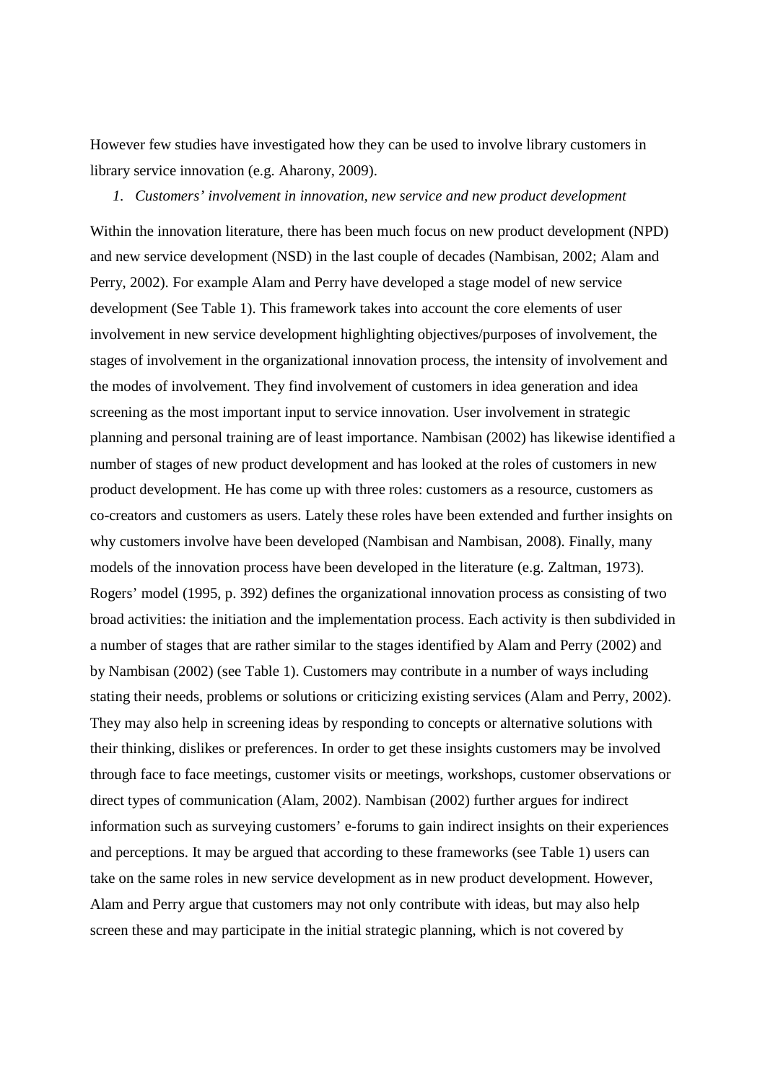However few studies have investigated how they can be used to involve library customers in library service innovation (e.g. Aharony, 2009).

#### *1. Customers' involvement in innovation, new service and new product development*

Within the innovation literature, there has been much focus on new product development (NPD) and new service development (NSD) in the last couple of decades (Nambisan, 2002; Alam and Perry, 2002). For example Alam and Perry have developed a stage model of new service development (See Table 1). This framework takes into account the core elements of user involvement in new service development highlighting objectives/purposes of involvement, the stages of involvement in the organizational innovation process, the intensity of involvement and the modes of involvement. They find involvement of customers in idea generation and idea screening as the most important input to service innovation. User involvement in strategic planning and personal training are of least importance. Nambisan (2002) has likewise identified a number of stages of new product development and has looked at the roles of customers in new product development. He has come up with three roles: customers as a resource, customers as co-creators and customers as users. Lately these roles have been extended and further insights on why customers involve have been developed (Nambisan and Nambisan, 2008). Finally, many models of the innovation process have been developed in the literature (e.g. Zaltman, 1973). Rogers' model (1995, p. 392) defines the organizational innovation process as consisting of two broad activities: the initiation and the implementation process. Each activity is then subdivided in a number of stages that are rather similar to the stages identified by Alam and Perry (2002) and by Nambisan (2002) (see Table 1). Customers may contribute in a number of ways including stating their needs, problems or solutions or criticizing existing services (Alam and Perry, 2002). They may also help in screening ideas by responding to concepts or alternative solutions with their thinking, dislikes or preferences. In order to get these insights customers may be involved through face to face meetings, customer visits or meetings, workshops, customer observations or direct types of communication (Alam, 2002). Nambisan (2002) further argues for indirect information such as surveying customers' e-forums to gain indirect insights on their experiences and perceptions. It may be argued that according to these frameworks (see Table 1) users can take on the same roles in new service development as in new product development. However, Alam and Perry argue that customers may not only contribute with ideas, but may also help screen these and may participate in the initial strategic planning, which is not covered by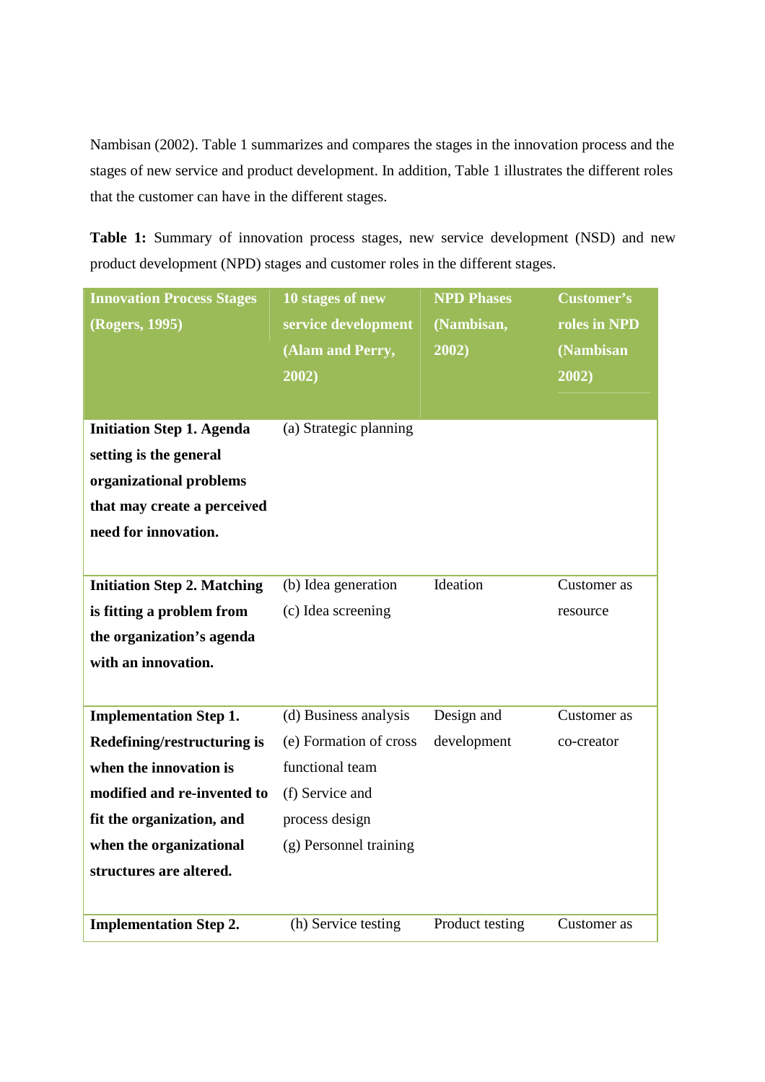Nambisan (2002). Table 1 summarizes and compares the stages in the innovation process and the stages of new service and product development. In addition, Table 1 illustrates the different roles that the customer can have in the different stages.

**Table 1:** Summary of innovation process stages, new service development (NSD) and new product development (NPD) stages and customer roles in the different stages.

| <b>Innovation Process Stages</b><br>(Rogers, 1995)                                                                                                                                                       | 10 stages of new<br>service development<br>(Alam and Perry,<br>2002)                                                              | <b>NPD Phases</b><br>(Nambisan,<br>2002) | <b>Customer's</b><br>roles in NPD<br>(Nambisan<br>2002) |
|----------------------------------------------------------------------------------------------------------------------------------------------------------------------------------------------------------|-----------------------------------------------------------------------------------------------------------------------------------|------------------------------------------|---------------------------------------------------------|
| <b>Initiation Step 1. Agenda</b><br>setting is the general<br>organizational problems<br>that may create a perceived<br>need for innovation.                                                             | (a) Strategic planning                                                                                                            |                                          |                                                         |
| <b>Initiation Step 2. Matching</b><br>is fitting a problem from<br>the organization's agenda<br>with an innovation.                                                                                      | (b) Idea generation<br>(c) Idea screening                                                                                         | Ideation                                 | Customer as<br>resource                                 |
| <b>Implementation Step 1.</b><br>Redefining/restructuring is<br>when the innovation is<br>modified and re-invented to<br>fit the organization, and<br>when the organizational<br>structures are altered. | (d) Business analysis<br>(e) Formation of cross<br>functional team<br>(f) Service and<br>process design<br>(g) Personnel training | Design and<br>development                | Customer as<br>co-creator                               |
| <b>Implementation Step 2.</b>                                                                                                                                                                            | (h) Service testing                                                                                                               | Product testing                          | Customer as                                             |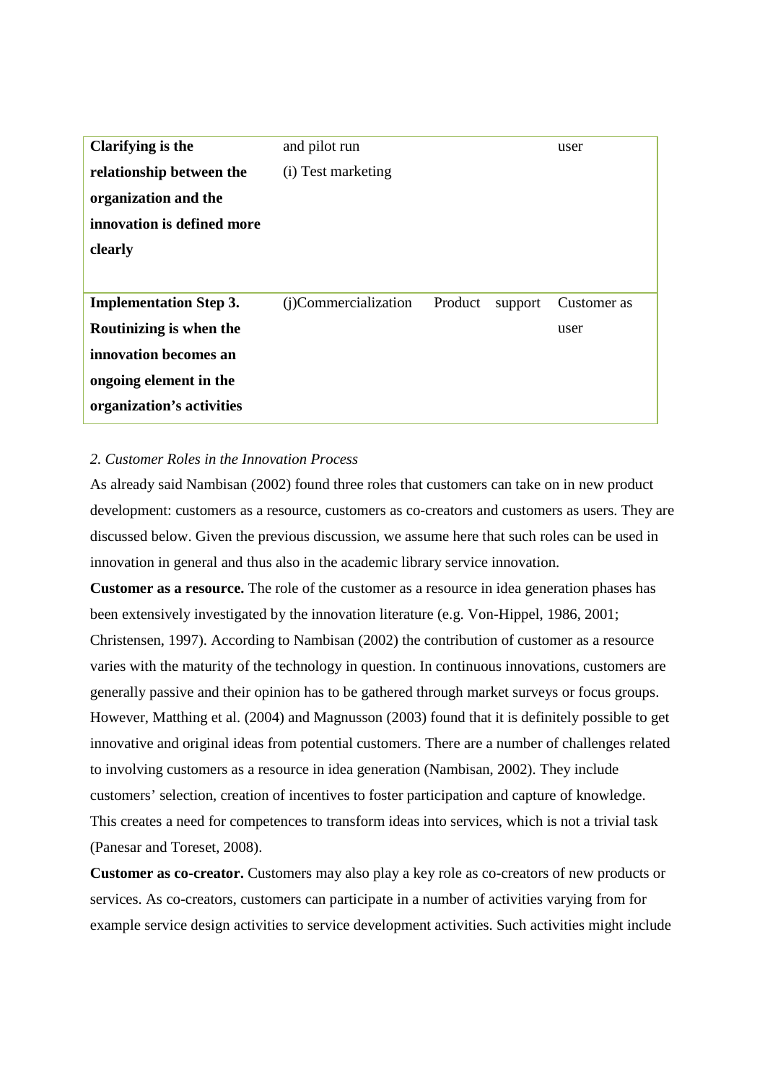| Clarifying is the             | and pilot run        |         |         | user        |
|-------------------------------|----------------------|---------|---------|-------------|
| relationship between the      | (i) Test marketing   |         |         |             |
| organization and the          |                      |         |         |             |
| innovation is defined more    |                      |         |         |             |
| clearly                       |                      |         |         |             |
|                               |                      |         |         |             |
| <b>Implementation Step 3.</b> | (i)Commercialization | Product | support | Customer as |
| Routinizing is when the       |                      |         |         | user        |
| innovation becomes an         |                      |         |         |             |
| ongoing element in the        |                      |         |         |             |
| organization's activities     |                      |         |         |             |

## *2. Customer Roles in the Innovation Process*

As already said Nambisan (2002) found three roles that customers can take on in new product development: customers as a resource, customers as co-creators and customers as users. They are discussed below. Given the previous discussion, we assume here that such roles can be used in innovation in general and thus also in the academic library service innovation.

**Customer as a resource.** The role of the customer as a resource in idea generation phases has been extensively investigated by the innovation literature (e.g. Von-Hippel, 1986, 2001; Christensen, 1997). According to Nambisan (2002) the contribution of customer as a resource varies with the maturity of the technology in question. In continuous innovations, customers are generally passive and their opinion has to be gathered through market surveys or focus groups. However, Matthing et al. (2004) and Magnusson (2003) found that it is definitely possible to get innovative and original ideas from potential customers. There are a number of challenges related to involving customers as a resource in idea generation (Nambisan, 2002). They include customers' selection, creation of incentives to foster participation and capture of knowledge. This creates a need for competences to transform ideas into services, which is not a trivial task (Panesar and Toreset, 2008).

**Customer as co-creator.** Customers may also play a key role as co-creators of new products or services. As co-creators, customers can participate in a number of activities varying from for example service design activities to service development activities. Such activities might include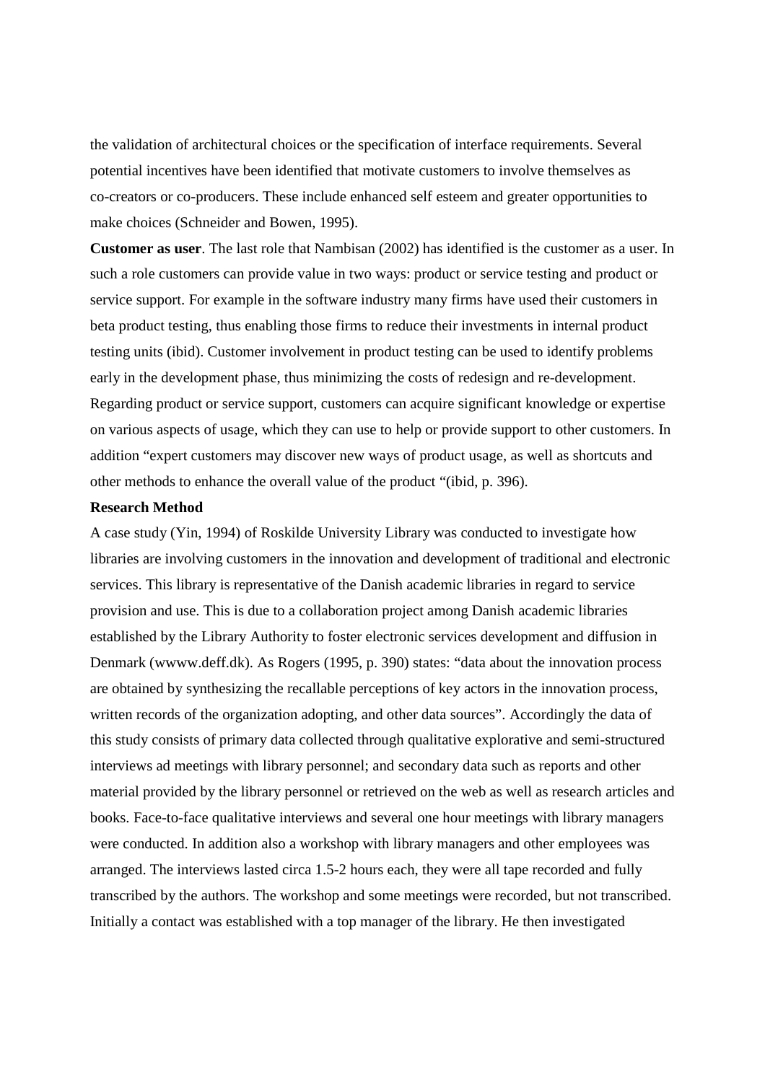the validation of architectural choices or the specification of interface requirements. Several potential incentives have been identified that motivate customers to involve themselves as co-creators or co-producers. These include enhanced self esteem and greater opportunities to make choices (Schneider and Bowen, 1995).

**Customer as user**. The last role that Nambisan (2002) has identified is the customer as a user. In such a role customers can provide value in two ways: product or service testing and product or service support. For example in the software industry many firms have used their customers in beta product testing, thus enabling those firms to reduce their investments in internal product testing units (ibid). Customer involvement in product testing can be used to identify problems early in the development phase, thus minimizing the costs of redesign and re-development. Regarding product or service support, customers can acquire significant knowledge or expertise on various aspects of usage, which they can use to help or provide support to other customers. In addition "expert customers may discover new ways of product usage, as well as shortcuts and other methods to enhance the overall value of the product "(ibid, p. 396).

#### **Research Method**

A case study (Yin, 1994) of Roskilde University Library was conducted to investigate how libraries are involving customers in the innovation and development of traditional and electronic services. This library is representative of the Danish academic libraries in regard to service provision and use. This is due to a collaboration project among Danish academic libraries established by the Library Authority to foster electronic services development and diffusion in Denmark (wwww.deff.dk). As Rogers (1995, p. 390) states: "data about the innovation process are obtained by synthesizing the recallable perceptions of key actors in the innovation process, written records of the organization adopting, and other data sources". Accordingly the data of this study consists of primary data collected through qualitative explorative and semi-structured interviews ad meetings with library personnel; and secondary data such as reports and other material provided by the library personnel or retrieved on the web as well as research articles and books. Face-to-face qualitative interviews and several one hour meetings with library managers were conducted. In addition also a workshop with library managers and other employees was arranged. The interviews lasted circa 1.5-2 hours each, they were all tape recorded and fully transcribed by the authors. The workshop and some meetings were recorded, but not transcribed. Initially a contact was established with a top manager of the library. He then investigated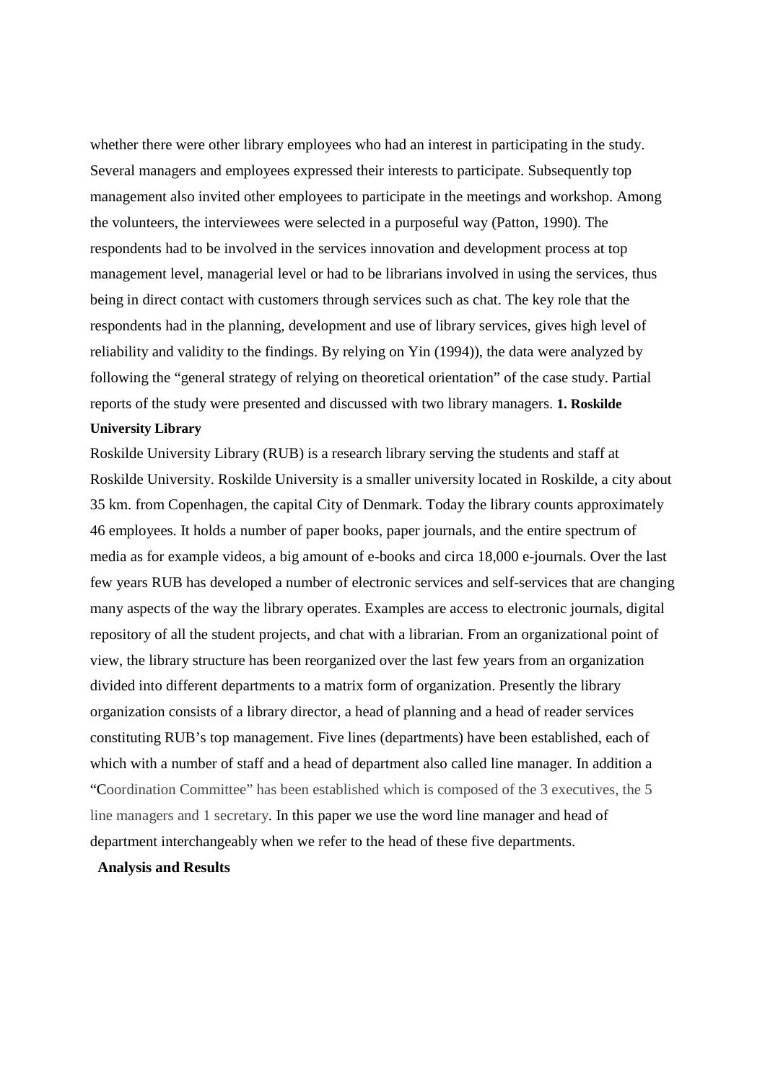whether there were other library employees who had an interest in participating in the study. Several managers and employees expressed their interests to participate. Subsequently top management also invited other employees to participate in the meetings and workshop. Among the volunteers, the interviewees were selected in a purposeful way (Patton, 1990). The respondents had to be involved in the services innovation and development process at top management level, managerial level or had to be librarians involved in using the services, thus being in direct contact with customers through services such as chat. The key role that the respondents had in the planning, development and use of library services, gives high level of reliability and validity to the findings. By relying on Yin (1994)), the data were analyzed by following the "general strategy of relying on theoretical orientation" of the case study. Partial reports of the study were presented and discussed with two library managers. **1. Roskilde University Library** 

Roskilde University Library (RUB) is a research library serving the students and staff at Roskilde University. Roskilde University is a smaller university located in Roskilde, a city about 35 km. from Copenhagen, the capital City of Denmark. Today the library counts approximately 46 employees. It holds a number of paper books, paper journals, and the entire spectrum of media as for example videos, a big amount of e-books and circa 18,000 e-journals. Over the last few years RUB has developed a number of electronic services and self-services that are changing many aspects of the way the library operates. Examples are access to electronic journals, digital repository of all the student projects, and chat with a librarian. From an organizational point of view, the library structure has been reorganized over the last few years from an organization divided into different departments to a matrix form of organization. Presently the library organization consists of a library director, a head of planning and a head of reader services constituting RUB's top management. Five lines (departments) have been established, each of which with a number of staff and a head of department also called line manager. In addition a "Coordination Committee" has been established which is composed of the 3 executives, the 5 line managers and 1 secretary. In this paper we use the word line manager and head of department interchangeably when we refer to the head of these five departments.

## **Analysis and Results**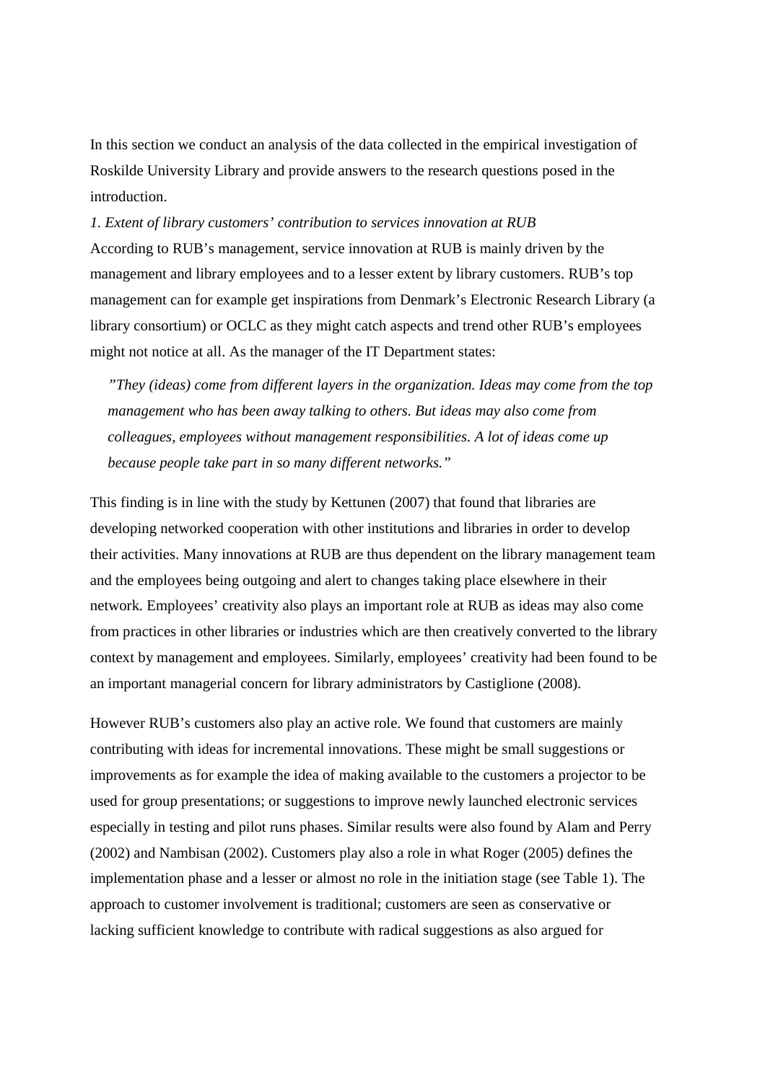In this section we conduct an analysis of the data collected in the empirical investigation of Roskilde University Library and provide answers to the research questions posed in the introduction.

*1. Extent of library customers' contribution to services innovation at RUB* 

According to RUB's management, service innovation at RUB is mainly driven by the management and library employees and to a lesser extent by library customers. RUB's top management can for example get inspirations from Denmark's Electronic Research Library (a library consortium) or OCLC as they might catch aspects and trend other RUB's employees might not notice at all. As the manager of the IT Department states:

*"They (ideas) come from different layers in the organization. Ideas may come from the top management who has been away talking to others. But ideas may also come from colleagues, employees without management responsibilities. A lot of ideas come up because people take part in so many different networks."* 

This finding is in line with the study by Kettunen (2007) that found that libraries are developing networked cooperation with other institutions and libraries in order to develop their activities. Many innovations at RUB are thus dependent on the library management team and the employees being outgoing and alert to changes taking place elsewhere in their network. Employees' creativity also plays an important role at RUB as ideas may also come from practices in other libraries or industries which are then creatively converted to the library context by management and employees. Similarly, employees' creativity had been found to be an important managerial concern for library administrators by Castiglione (2008).

However RUB's customers also play an active role. We found that customers are mainly contributing with ideas for incremental innovations. These might be small suggestions or improvements as for example the idea of making available to the customers a projector to be used for group presentations; or suggestions to improve newly launched electronic services especially in testing and pilot runs phases. Similar results were also found by Alam and Perry (2002) and Nambisan (2002). Customers play also a role in what Roger (2005) defines the implementation phase and a lesser or almost no role in the initiation stage (see Table 1). The approach to customer involvement is traditional; customers are seen as conservative or lacking sufficient knowledge to contribute with radical suggestions as also argued for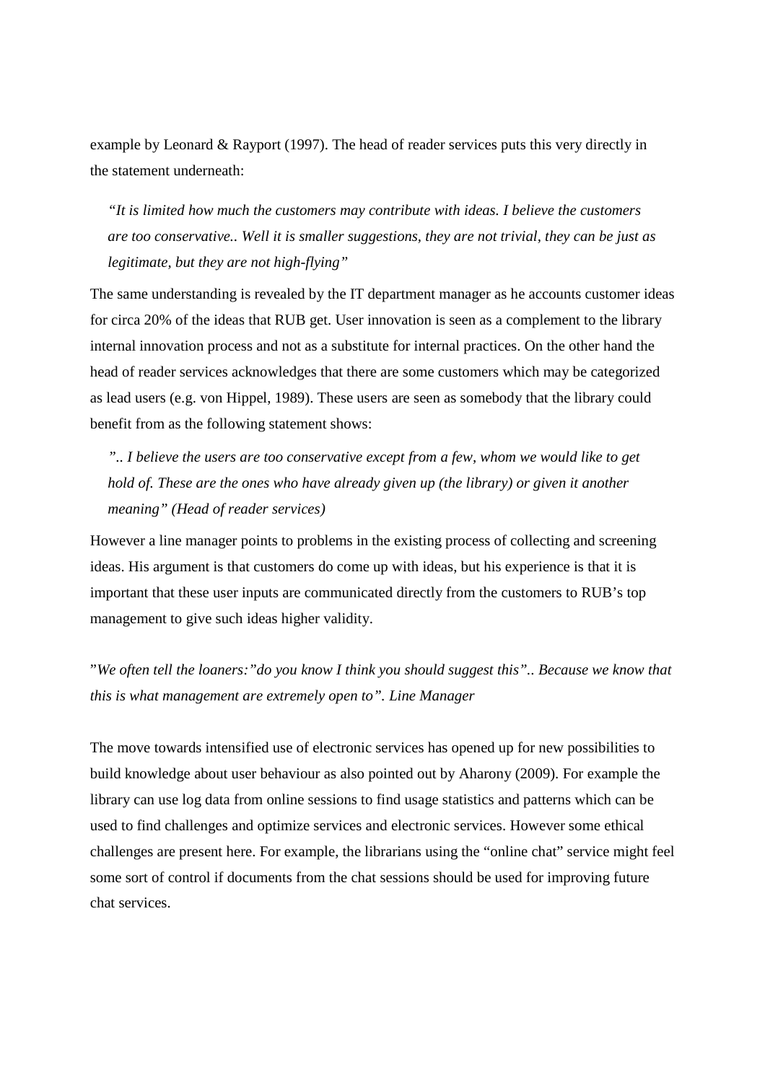example by Leonard & Rayport (1997). The head of reader services puts this very directly in the statement underneath:

*"It is limited how much the customers may contribute with ideas. I believe the customers are too conservative.. Well it is smaller suggestions, they are not trivial, they can be just as legitimate, but they are not high-flying"* 

The same understanding is revealed by the IT department manager as he accounts customer ideas for circa 20% of the ideas that RUB get. User innovation is seen as a complement to the library internal innovation process and not as a substitute for internal practices. On the other hand the head of reader services acknowledges that there are some customers which may be categorized as lead users (e.g. von Hippel, 1989). These users are seen as somebody that the library could benefit from as the following statement shows:

*".. I believe the users are too conservative except from a few, whom we would like to get hold of. These are the ones who have already given up (the library) or given it another meaning" (Head of reader services)* 

However a line manager points to problems in the existing process of collecting and screening ideas. His argument is that customers do come up with ideas, but his experience is that it is important that these user inputs are communicated directly from the customers to RUB's top management to give such ideas higher validity.

"*We often tell the loaners:"do you know I think you should suggest this".. Because we know that this is what management are extremely open to". Line Manager* 

The move towards intensified use of electronic services has opened up for new possibilities to build knowledge about user behaviour as also pointed out by Aharony (2009). For example the library can use log data from online sessions to find usage statistics and patterns which can be used to find challenges and optimize services and electronic services. However some ethical challenges are present here. For example, the librarians using the "online chat" service might feel some sort of control if documents from the chat sessions should be used for improving future chat services.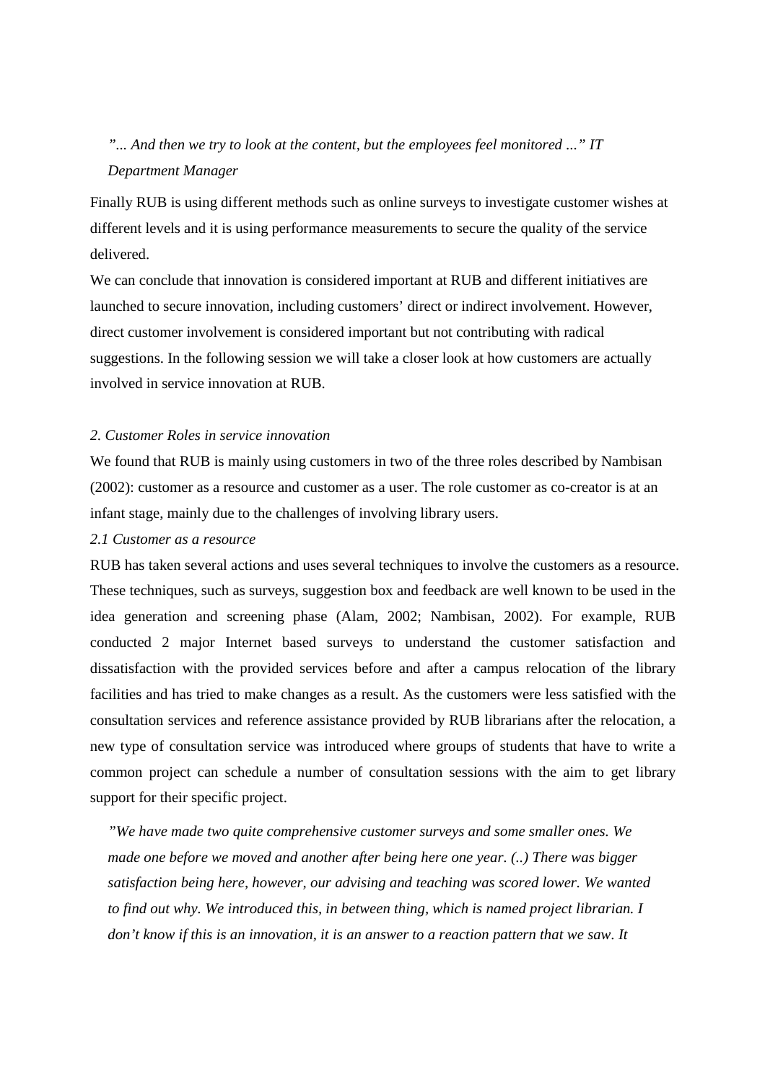# *"... And then we try to look at the content, but the employees feel monitored ..." IT Department Manager*

Finally RUB is using different methods such as online surveys to investigate customer wishes at different levels and it is using performance measurements to secure the quality of the service delivered.

We can conclude that innovation is considered important at RUB and different initiatives are launched to secure innovation, including customers' direct or indirect involvement. However, direct customer involvement is considered important but not contributing with radical suggestions. In the following session we will take a closer look at how customers are actually involved in service innovation at RUB.

## *2. Customer Roles in service innovation*

We found that RUB is mainly using customers in two of the three roles described by Nambisan (2002): customer as a resource and customer as a user. The role customer as co-creator is at an infant stage, mainly due to the challenges of involving library users.

### *2.1 Customer as a resource*

RUB has taken several actions and uses several techniques to involve the customers as a resource. These techniques, such as surveys, suggestion box and feedback are well known to be used in the idea generation and screening phase (Alam, 2002; Nambisan, 2002). For example, RUB conducted 2 major Internet based surveys to understand the customer satisfaction and dissatisfaction with the provided services before and after a campus relocation of the library facilities and has tried to make changes as a result. As the customers were less satisfied with the consultation services and reference assistance provided by RUB librarians after the relocation, a new type of consultation service was introduced where groups of students that have to write a common project can schedule a number of consultation sessions with the aim to get library support for their specific project.

*"We have made two quite comprehensive customer surveys and some smaller ones. We made one before we moved and another after being here one year. (..) There was bigger satisfaction being here, however, our advising and teaching was scored lower. We wanted to find out why. We introduced this, in between thing, which is named project librarian. I don't know if this is an innovation, it is an answer to a reaction pattern that we saw. It*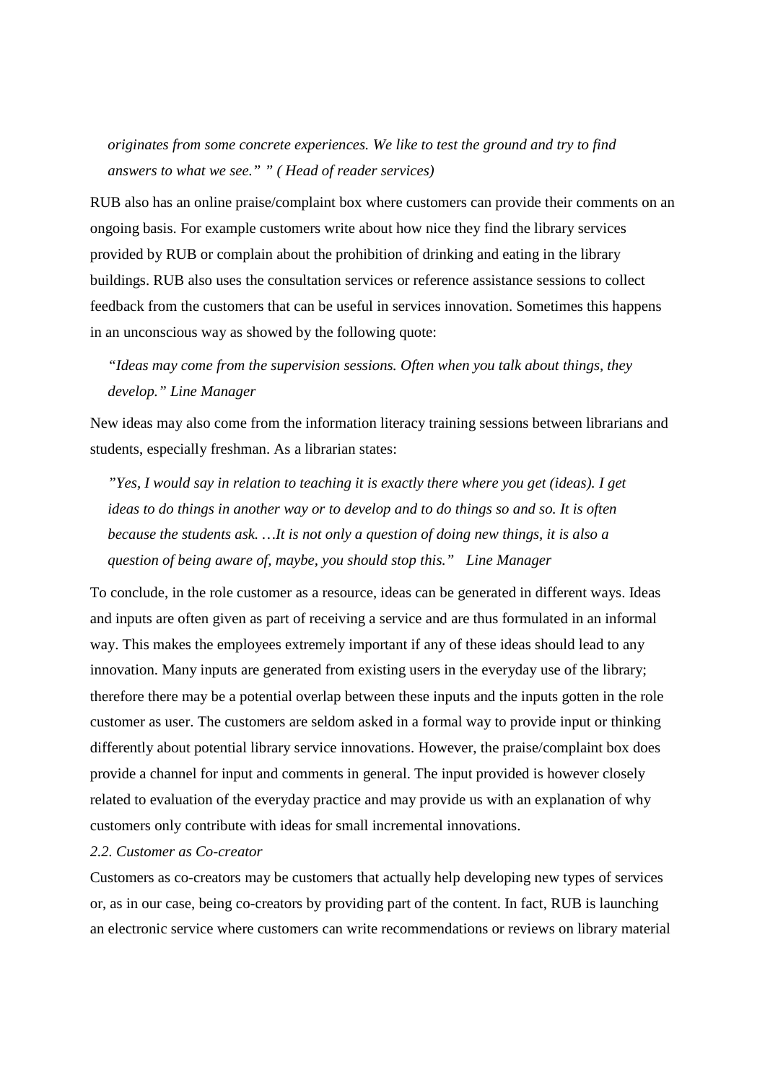*originates from some concrete experiences. We like to test the ground and try to find answers to what we see." " ( Head of reader services)* 

RUB also has an online praise/complaint box where customers can provide their comments on an ongoing basis. For example customers write about how nice they find the library services provided by RUB or complain about the prohibition of drinking and eating in the library buildings. RUB also uses the consultation services or reference assistance sessions to collect feedback from the customers that can be useful in services innovation. Sometimes this happens in an unconscious way as showed by the following quote:

*"Ideas may come from the supervision sessions. Often when you talk about things, they develop." Line Manager* 

New ideas may also come from the information literacy training sessions between librarians and students, especially freshman. As a librarian states:

*"Yes, I would say in relation to teaching it is exactly there where you get (ideas). I get ideas to do things in another way or to develop and to do things so and so. It is often because the students ask. …It is not only a question of doing new things, it is also a question of being aware of, maybe, you should stop this." Line Manager*

To conclude, in the role customer as a resource, ideas can be generated in different ways. Ideas and inputs are often given as part of receiving a service and are thus formulated in an informal way. This makes the employees extremely important if any of these ideas should lead to any innovation. Many inputs are generated from existing users in the everyday use of the library; therefore there may be a potential overlap between these inputs and the inputs gotten in the role customer as user. The customers are seldom asked in a formal way to provide input or thinking differently about potential library service innovations. However, the praise/complaint box does provide a channel for input and comments in general. The input provided is however closely related to evaluation of the everyday practice and may provide us with an explanation of why customers only contribute with ideas for small incremental innovations.

### *2.2. Customer as Co-creator*

Customers as co-creators may be customers that actually help developing new types of services or, as in our case, being co-creators by providing part of the content. In fact, RUB is launching an electronic service where customers can write recommendations or reviews on library material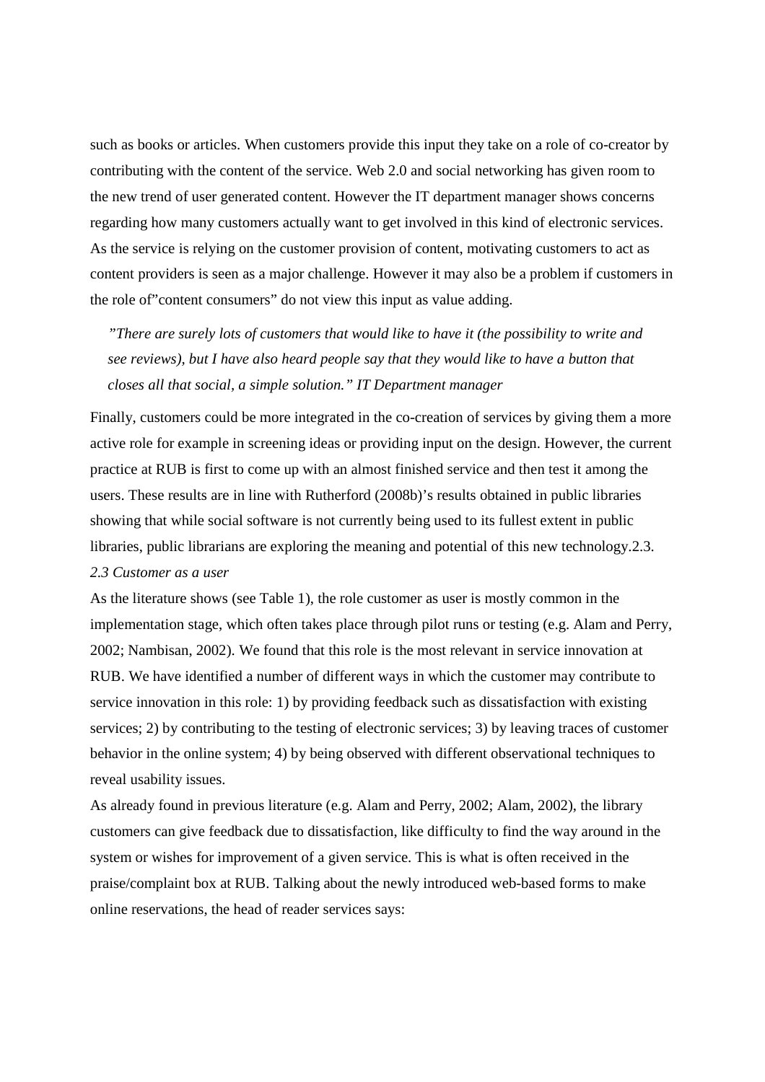such as books or articles. When customers provide this input they take on a role of co-creator by contributing with the content of the service. Web 2.0 and social networking has given room to the new trend of user generated content. However the IT department manager shows concerns regarding how many customers actually want to get involved in this kind of electronic services. As the service is relying on the customer provision of content, motivating customers to act as content providers is seen as a major challenge. However it may also be a problem if customers in the role of"content consumers" do not view this input as value adding.

*"There are surely lots of customers that would like to have it (the possibility to write and see reviews), but I have also heard people say that they would like to have a button that closes all that social, a simple solution." IT Department manager* 

Finally, customers could be more integrated in the co-creation of services by giving them a more active role for example in screening ideas or providing input on the design. However, the current practice at RUB is first to come up with an almost finished service and then test it among the users. These results are in line with Rutherford (2008b)'s results obtained in public libraries showing that while social software is not currently being used to its fullest extent in public libraries, public librarians are exploring the meaning and potential of this new technology.2.3. *2.3 Customer as a user* 

As the literature shows (see Table 1), the role customer as user is mostly common in the implementation stage, which often takes place through pilot runs or testing (e.g. Alam and Perry, 2002; Nambisan, 2002). We found that this role is the most relevant in service innovation at RUB. We have identified a number of different ways in which the customer may contribute to service innovation in this role: 1) by providing feedback such as dissatisfaction with existing services; 2) by contributing to the testing of electronic services; 3) by leaving traces of customer behavior in the online system; 4) by being observed with different observational techniques to reveal usability issues.

As already found in previous literature (e.g. Alam and Perry, 2002; Alam, 2002), the library customers can give feedback due to dissatisfaction, like difficulty to find the way around in the system or wishes for improvement of a given service. This is what is often received in the praise/complaint box at RUB. Talking about the newly introduced web-based forms to make online reservations, the head of reader services says: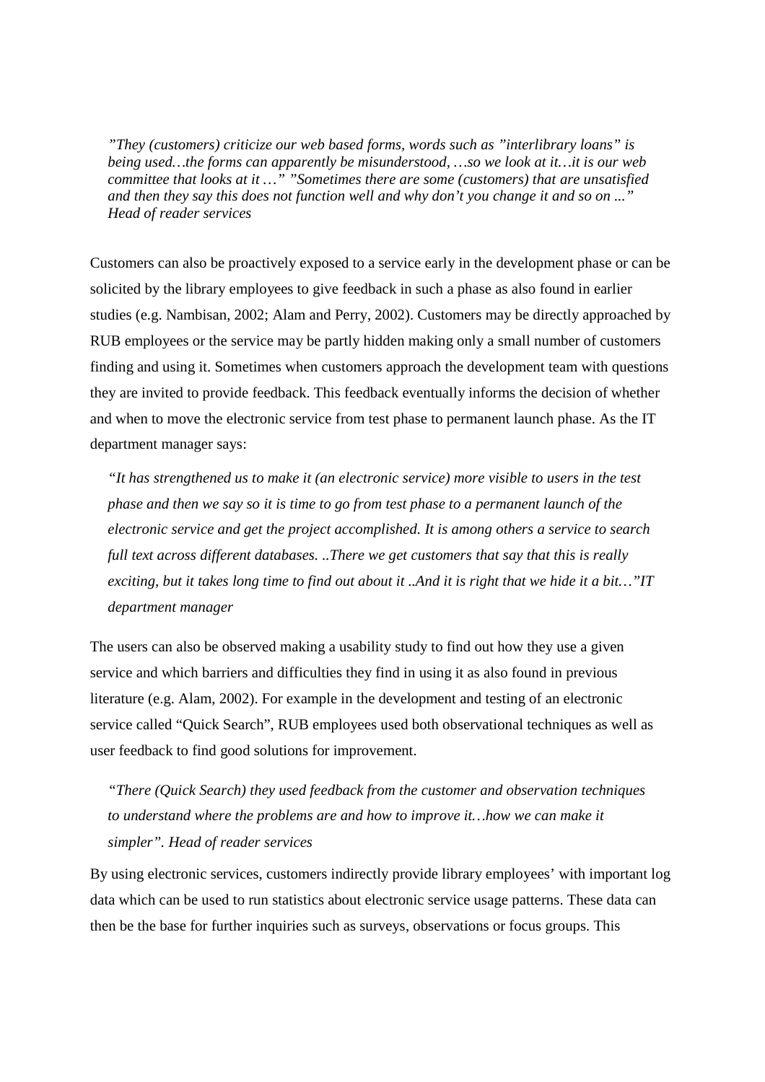*"They (customers) criticize our web based forms, words such as "interlibrary loans" is being used…the forms can apparently be misunderstood, …so we look at it…it is our web committee that looks at it …" "Sometimes there are some (customers) that are unsatisfied and then they say this does not function well and why don't you change it and so on ..." Head of reader services* 

Customers can also be proactively exposed to a service early in the development phase or can be solicited by the library employees to give feedback in such a phase as also found in earlier studies (e.g. Nambisan, 2002; Alam and Perry, 2002). Customers may be directly approached by RUB employees or the service may be partly hidden making only a small number of customers finding and using it. Sometimes when customers approach the development team with questions they are invited to provide feedback. This feedback eventually informs the decision of whether and when to move the electronic service from test phase to permanent launch phase. As the IT department manager says:

*"It has strengthened us to make it (an electronic service) more visible to users in the test phase and then we say so it is time to go from test phase to a permanent launch of the electronic service and get the project accomplished. It is among others a service to search full text across different databases. ..There we get customers that say that this is really exciting, but it takes long time to find out about it ..And it is right that we hide it a bit…"IT department manager* 

The users can also be observed making a usability study to find out how they use a given service and which barriers and difficulties they find in using it as also found in previous literature (e.g. Alam, 2002). For example in the development and testing of an electronic service called "Quick Search", RUB employees used both observational techniques as well as user feedback to find good solutions for improvement.

*"There (Quick Search) they used feedback from the customer and observation techniques to understand where the problems are and how to improve it…how we can make it simpler". Head of reader services* 

By using electronic services, customers indirectly provide library employees' with important log data which can be used to run statistics about electronic service usage patterns. These data can then be the base for further inquiries such as surveys, observations or focus groups. This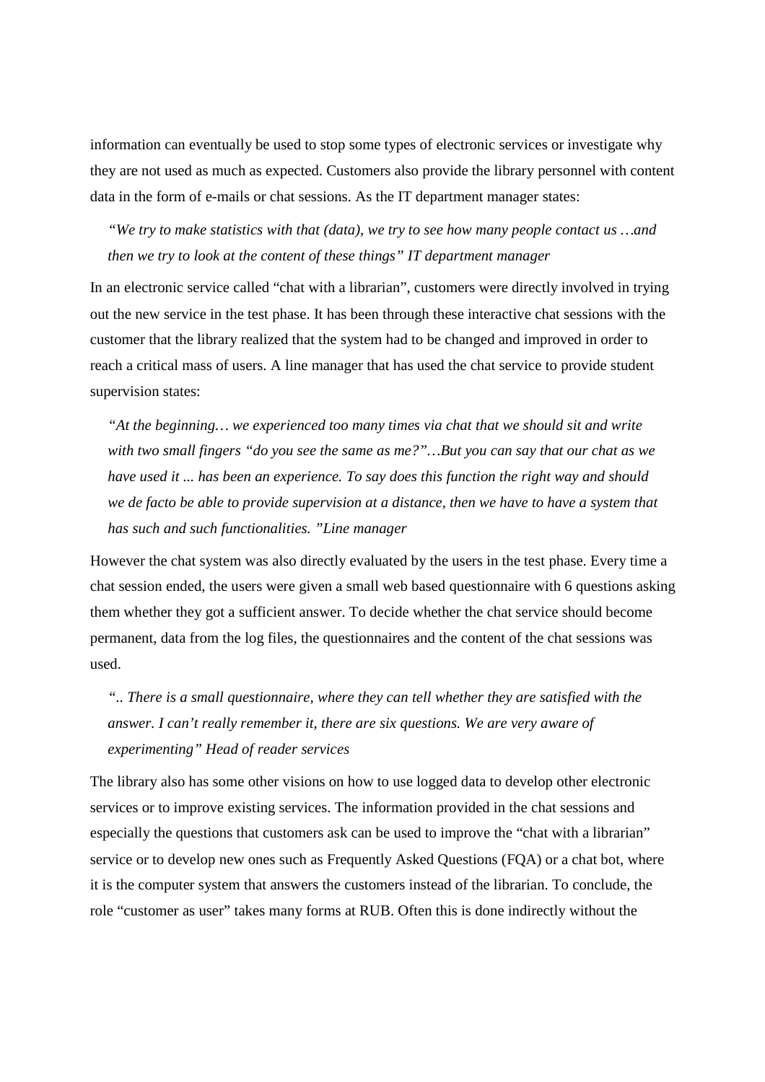information can eventually be used to stop some types of electronic services or investigate why they are not used as much as expected. Customers also provide the library personnel with content data in the form of e-mails or chat sessions. As the IT department manager states:

*"We try to make statistics with that (data), we try to see how many people contact us …and then we try to look at the content of these things" IT department manager* 

In an electronic service called "chat with a librarian", customers were directly involved in trying out the new service in the test phase. It has been through these interactive chat sessions with the customer that the library realized that the system had to be changed and improved in order to reach a critical mass of users. A line manager that has used the chat service to provide student supervision states:

*"At the beginning… we experienced too many times via chat that we should sit and write with two small fingers "do you see the same as me?"…But you can say that our chat as we have used it ... has been an experience. To say does this function the right way and should we de facto be able to provide supervision at a distance, then we have to have a system that has such and such functionalities. "Line manager* 

However the chat system was also directly evaluated by the users in the test phase. Every time a chat session ended, the users were given a small web based questionnaire with 6 questions asking them whether they got a sufficient answer. To decide whether the chat service should become permanent, data from the log files, the questionnaires and the content of the chat sessions was used.

*".. There is a small questionnaire, where they can tell whether they are satisfied with the answer. I can't really remember it, there are six questions. We are very aware of experimenting" Head of reader services* 

The library also has some other visions on how to use logged data to develop other electronic services or to improve existing services. The information provided in the chat sessions and especially the questions that customers ask can be used to improve the "chat with a librarian" service or to develop new ones such as Frequently Asked Questions (FQA) or a chat bot, where it is the computer system that answers the customers instead of the librarian. To conclude, the role "customer as user" takes many forms at RUB. Often this is done indirectly without the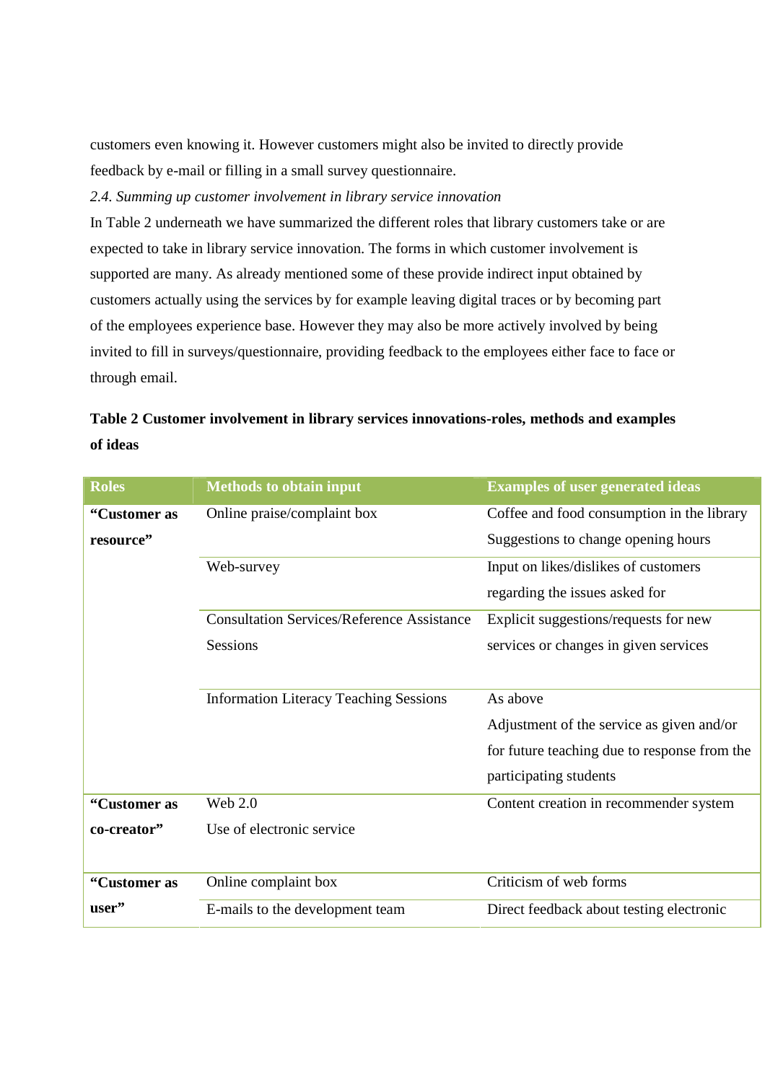customers even knowing it. However customers might also be invited to directly provide feedback by e-mail or filling in a small survey questionnaire.

*2.4. Summing up customer involvement in library service innovation* 

In Table 2 underneath we have summarized the different roles that library customers take or are expected to take in library service innovation. The forms in which customer involvement is supported are many. As already mentioned some of these provide indirect input obtained by customers actually using the services by for example leaving digital traces or by becoming part of the employees experience base. However they may also be more actively involved by being invited to fill in surveys/questionnaire, providing feedback to the employees either face to face or through email.

**Table 2 Customer involvement in library services innovations-roles, methods and examples of ideas** 

| <b>Roles</b> | <b>Methods to obtain input</b>                    | <b>Examples of user generated ideas</b>      |
|--------------|---------------------------------------------------|----------------------------------------------|
| "Customer as | Online praise/complaint box                       | Coffee and food consumption in the library   |
| resource"    |                                                   | Suggestions to change opening hours          |
|              | Web-survey                                        | Input on likes/dislikes of customers         |
|              |                                                   | regarding the issues asked for               |
|              | <b>Consultation Services/Reference Assistance</b> | Explicit suggestions/requests for new        |
|              | Sessions                                          | services or changes in given services        |
|              |                                                   |                                              |
|              | <b>Information Literacy Teaching Sessions</b>     | As above                                     |
|              |                                                   | Adjustment of the service as given and/or    |
|              |                                                   | for future teaching due to response from the |
|              |                                                   | participating students                       |
| "Customer as | Web 2.0                                           | Content creation in recommender system       |
| co-creator"  | Use of electronic service                         |                                              |
|              |                                                   |                                              |
| "Customer as | Online complaint box                              | Criticism of web forms                       |
| user"        | E-mails to the development team                   | Direct feedback about testing electronic     |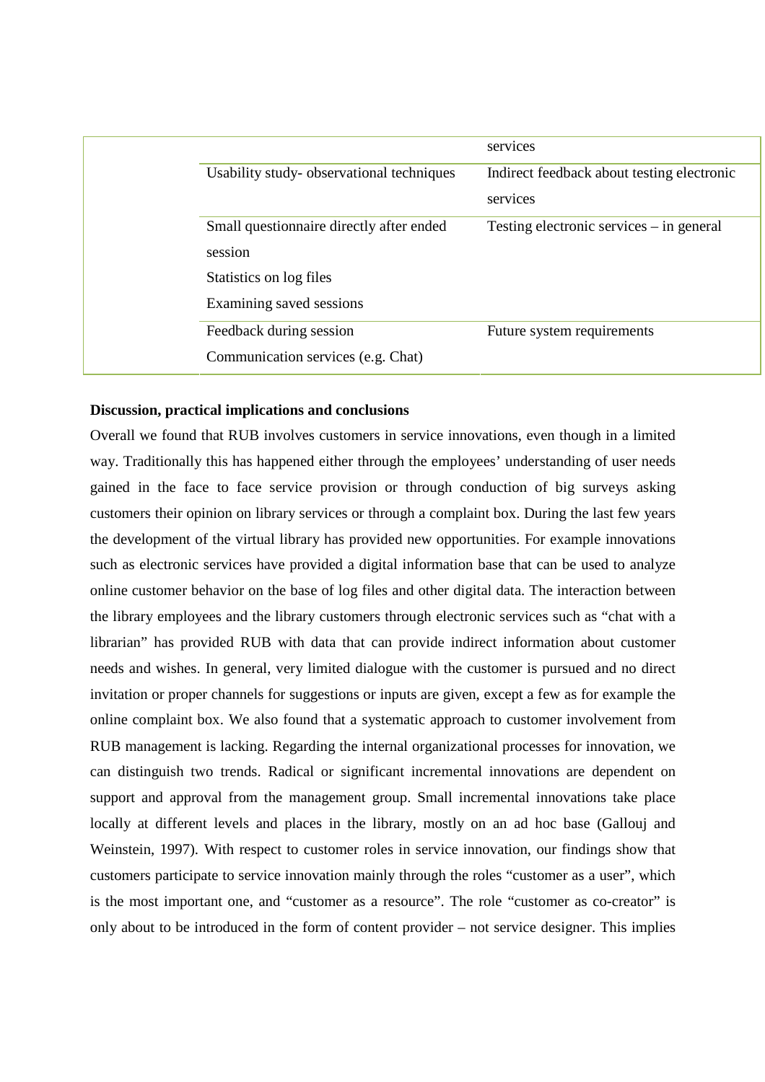|                                           | services                                   |
|-------------------------------------------|--------------------------------------------|
| Usability study- observational techniques | Indirect feedback about testing electronic |
|                                           | services                                   |
| Small questionnaire directly after ended  | Testing electronic services – in general   |
| session                                   |                                            |
| Statistics on log files                   |                                            |
| Examining saved sessions                  |                                            |
| Feedback during session                   | Future system requirements                 |
| Communication services (e.g. Chat)        |                                            |
|                                           |                                            |

## **Discussion, practical implications and conclusions**

Overall we found that RUB involves customers in service innovations, even though in a limited way. Traditionally this has happened either through the employees' understanding of user needs gained in the face to face service provision or through conduction of big surveys asking customers their opinion on library services or through a complaint box. During the last few years the development of the virtual library has provided new opportunities. For example innovations such as electronic services have provided a digital information base that can be used to analyze online customer behavior on the base of log files and other digital data. The interaction between the library employees and the library customers through electronic services such as "chat with a librarian" has provided RUB with data that can provide indirect information about customer needs and wishes. In general, very limited dialogue with the customer is pursued and no direct invitation or proper channels for suggestions or inputs are given, except a few as for example the online complaint box. We also found that a systematic approach to customer involvement from RUB management is lacking. Regarding the internal organizational processes for innovation, we can distinguish two trends. Radical or significant incremental innovations are dependent on support and approval from the management group. Small incremental innovations take place locally at different levels and places in the library, mostly on an ad hoc base (Gallouj and Weinstein, 1997). With respect to customer roles in service innovation, our findings show that customers participate to service innovation mainly through the roles "customer as a user", which is the most important one, and "customer as a resource". The role "customer as co-creator" is only about to be introduced in the form of content provider – not service designer. This implies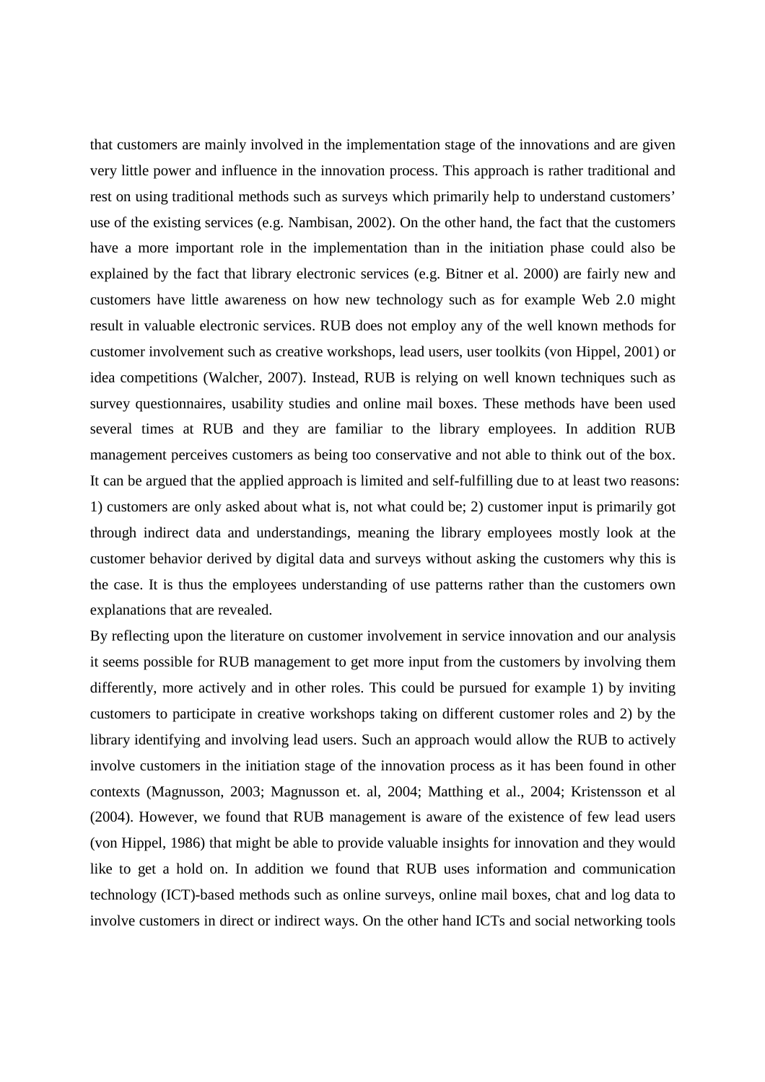that customers are mainly involved in the implementation stage of the innovations and are given very little power and influence in the innovation process. This approach is rather traditional and rest on using traditional methods such as surveys which primarily help to understand customers' use of the existing services (e.g. Nambisan, 2002). On the other hand, the fact that the customers have a more important role in the implementation than in the initiation phase could also be explained by the fact that library electronic services (e.g. Bitner et al. 2000) are fairly new and customers have little awareness on how new technology such as for example Web 2.0 might result in valuable electronic services. RUB does not employ any of the well known methods for customer involvement such as creative workshops, lead users, user toolkits (von Hippel, 2001) or idea competitions (Walcher, 2007). Instead, RUB is relying on well known techniques such as survey questionnaires, usability studies and online mail boxes. These methods have been used several times at RUB and they are familiar to the library employees. In addition RUB management perceives customers as being too conservative and not able to think out of the box. It can be argued that the applied approach is limited and self-fulfilling due to at least two reasons: 1) customers are only asked about what is, not what could be; 2) customer input is primarily got through indirect data and understandings, meaning the library employees mostly look at the customer behavior derived by digital data and surveys without asking the customers why this is the case. It is thus the employees understanding of use patterns rather than the customers own explanations that are revealed.

By reflecting upon the literature on customer involvement in service innovation and our analysis it seems possible for RUB management to get more input from the customers by involving them differently, more actively and in other roles. This could be pursued for example 1) by inviting customers to participate in creative workshops taking on different customer roles and 2) by the library identifying and involving lead users. Such an approach would allow the RUB to actively involve customers in the initiation stage of the innovation process as it has been found in other contexts (Magnusson, 2003; Magnusson et. al, 2004; Matthing et al., 2004; Kristensson et al (2004). However, we found that RUB management is aware of the existence of few lead users (von Hippel, 1986) that might be able to provide valuable insights for innovation and they would like to get a hold on. In addition we found that RUB uses information and communication technology (ICT)-based methods such as online surveys, online mail boxes, chat and log data to involve customers in direct or indirect ways. On the other hand ICTs and social networking tools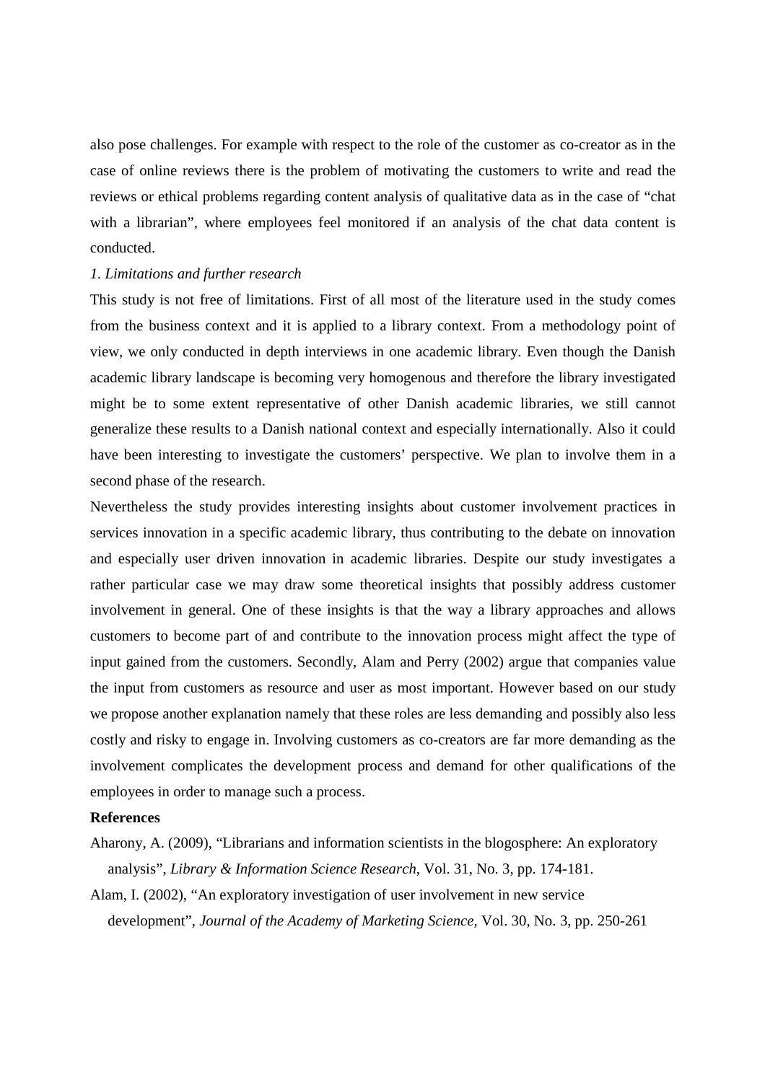also pose challenges. For example with respect to the role of the customer as co-creator as in the case of online reviews there is the problem of motivating the customers to write and read the reviews or ethical problems regarding content analysis of qualitative data as in the case of "chat with a librarian", where employees feel monitored if an analysis of the chat data content is conducted.

## *1. Limitations and further research*

This study is not free of limitations. First of all most of the literature used in the study comes from the business context and it is applied to a library context. From a methodology point of view, we only conducted in depth interviews in one academic library. Even though the Danish academic library landscape is becoming very homogenous and therefore the library investigated might be to some extent representative of other Danish academic libraries, we still cannot generalize these results to a Danish national context and especially internationally. Also it could have been interesting to investigate the customers' perspective. We plan to involve them in a second phase of the research.

Nevertheless the study provides interesting insights about customer involvement practices in services innovation in a specific academic library, thus contributing to the debate on innovation and especially user driven innovation in academic libraries. Despite our study investigates a rather particular case we may draw some theoretical insights that possibly address customer involvement in general. One of these insights is that the way a library approaches and allows customers to become part of and contribute to the innovation process might affect the type of input gained from the customers. Secondly, Alam and Perry (2002) argue that companies value the input from customers as resource and user as most important. However based on our study we propose another explanation namely that these roles are less demanding and possibly also less costly and risky to engage in. Involving customers as co-creators are far more demanding as the involvement complicates the development process and demand for other qualifications of the employees in order to manage such a process.

#### **References**

- Aharony, A. (2009), "Librarians and information scientists in the blogosphere: An exploratory analysis", *Library & Information Science Research*, Vol. 31, No. 3, pp. 174-181.
- Alam, I. (2002), "An exploratory investigation of user involvement in new service development", *Journal of the Academy of Marketing Science*, Vol. 30, No. 3, pp. 250-261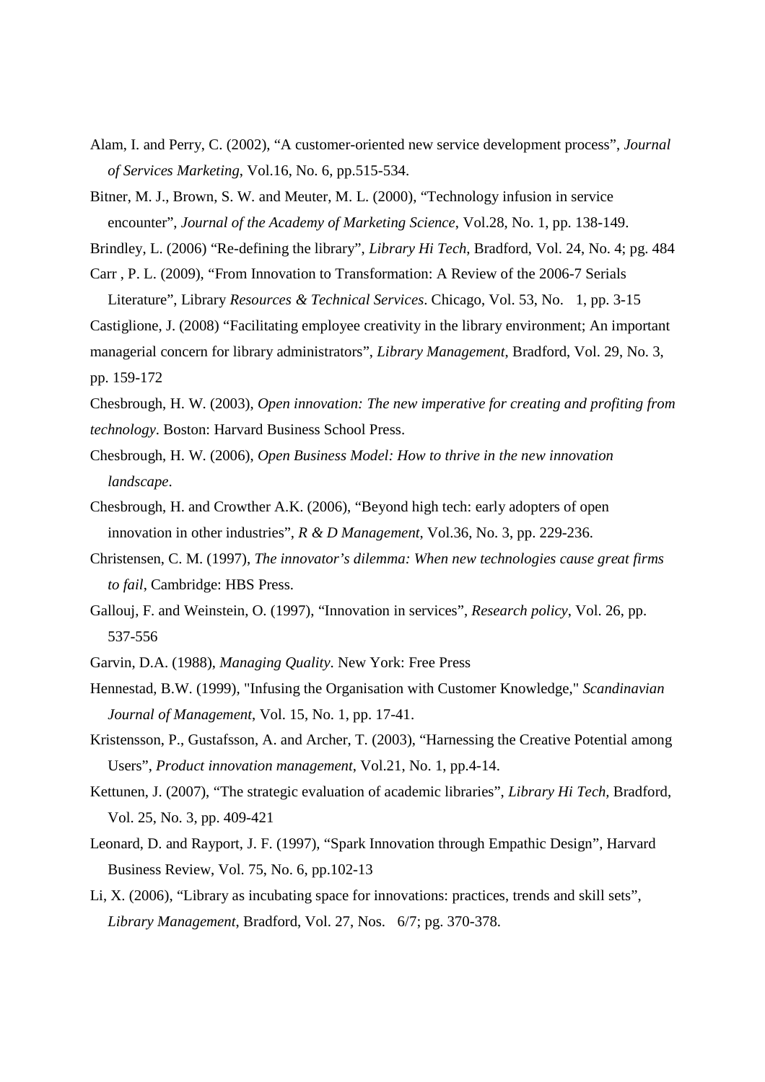- Alam, I. and Perry, C. (2002), "A customer-oriented new service development process", *Journal of Services Marketing*, Vol.16, No. 6, pp.515-534.
- Bitner, M. J., Brown, S. W. and Meuter, M. L. (2000), "Technology infusion in service encounter", *Journal of the Academy of Marketing Science*, Vol.28, No. 1, pp. 138-149.

Brindley, L. (2006) "Re-defining the library", *Library Hi Tech*, Bradford, Vol. 24, No. 4; pg. 484

Carr , P. L. (2009), "From Innovation to Transformation: A Review of the 2006-7 Serials

Literature", Library *Resources & Technical Services*. Chicago, Vol. 53, No. 1, pp. 3-15 Castiglione, J. (2008) "Facilitating employee creativity in the library environment; An important managerial concern for library administrators", *Library Management*, Bradford, Vol. 29, No. 3, pp. 159-172

Chesbrough, H. W. (2003), *Open innovation: The new imperative for creating and profiting from technology*. Boston: Harvard Business School Press.

- Chesbrough, H. W. (2006), *Open Business Model: How to thrive in the new innovation landscape*.
- Chesbrough, H. and Crowther A.K. (2006), "Beyond high tech: early adopters of open innovation in other industries", *R & D Management*, Vol.36, No. 3, pp. 229-236.
- Christensen, C. M. (1997), *The innovator's dilemma: When new technologies cause great firms to fail*, Cambridge: HBS Press.
- Gallouj, F. and Weinstein, O. (1997), "Innovation in services", *Research policy*, Vol. 26, pp. 537-556
- Garvin, D.A. (1988), *Managing Quality*. New York: Free Press
- Hennestad, B.W. (1999), "Infusing the Organisation with Customer Knowledge," *Scandinavian Journal of Management*, Vol. 15, No. 1, pp. 17-41.
- Kristensson, P., Gustafsson, A. and Archer, T. (2003), "Harnessing the Creative Potential among Users", *Product innovation management*, Vol.21, No. 1, pp.4-14.
- Kettunen, J. (2007), "The strategic evaluation of academic libraries", *Library Hi Tech,* Bradford, Vol. 25, No. 3, pp. 409-421
- Leonard, D. and Rayport, J. F. (1997), "Spark Innovation through Empathic Design", Harvard Business Review, Vol. 75, No. 6, pp.102-13
- Li, X. (2006), "Library as incubating space for innovations: practices, trends and skill sets", *Library Management*, Bradford, Vol. 27, Nos. 6/7; pg. 370-378.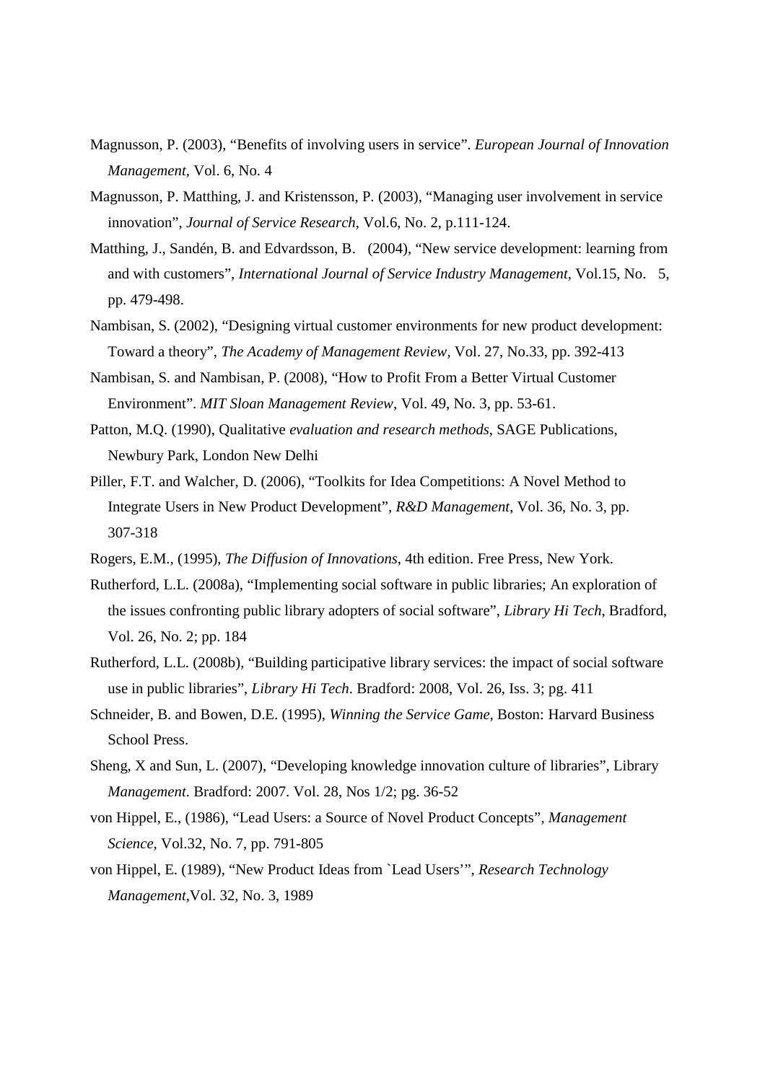- Magnusson, P. (2003), "Benefits of involving users in service". *European Journal of Innovation Management,* Vol. 6, No. 4
- Magnusson, P. Matthing, J. and Kristensson, P. (2003), "Managing user involvement in service innovation", *Journal of Service Research*, Vol.6, No. 2, p.111-124.
- Matthing, J., Sandén, B. and Edvardsson, B. (2004), "New service development: learning from and with customers", *International Journal of Service Industry Management*, Vol.15, No. 5, pp. 479-498.
- Nambisan, S. (2002), "Designing virtual customer environments for new product development: Toward a theory", *The Academy of Management Review*, Vol. 27, No.33, pp. 392-413
- Nambisan, S. and Nambisan, P. (2008), "How to Profit From a Better Virtual Customer Environment". *MIT Sloan Management Review*, Vol. 49, No. 3, pp. 53-61.
- Patton, M.Q. (1990), Qualitative *evaluation and research methods*, SAGE Publications, Newbury Park, London New Delhi
- Piller, F.T. and Walcher, D. (2006), "Toolkits for Idea Competitions: A Novel Method to Integrate Users in New Product Development", *R&D Management*, Vol. 36, No. 3, pp. 307-318
- Rogers, E.M., (1995), *The Diffusion of Innovations*, 4th edition. Free Press, New York.
- Rutherford, L.L. (2008a), "Implementing social software in public libraries; An exploration of the issues confronting public library adopters of social software", *Library Hi Tech*, Bradford, Vol. 26, No. 2; pp. 184
- Rutherford, L.L. (2008b), "Building participative library services: the impact of social software use in public libraries", *Library Hi Tech*. Bradford: 2008, Vol. 26, Iss. 3; pg. 411
- Schneider, B. and Bowen, D.E. (1995), *Winning the Service Game*, Boston: Harvard Business School Press.
- Sheng, X and Sun, L. (2007), "Developing knowledge innovation culture of libraries", Library *Management*. Bradford: 2007. Vol. 28, Nos 1/2; pg. 36-52
- von Hippel, E., (1986), "Lead Users: a Source of Novel Product Concepts", *Management Science*, Vol.32, No. 7, pp. 791-805
- von Hippel, E. (1989), "New Product Ideas from `Lead Users'", *Research Technology Management*,Vol. 32, No. 3, 1989